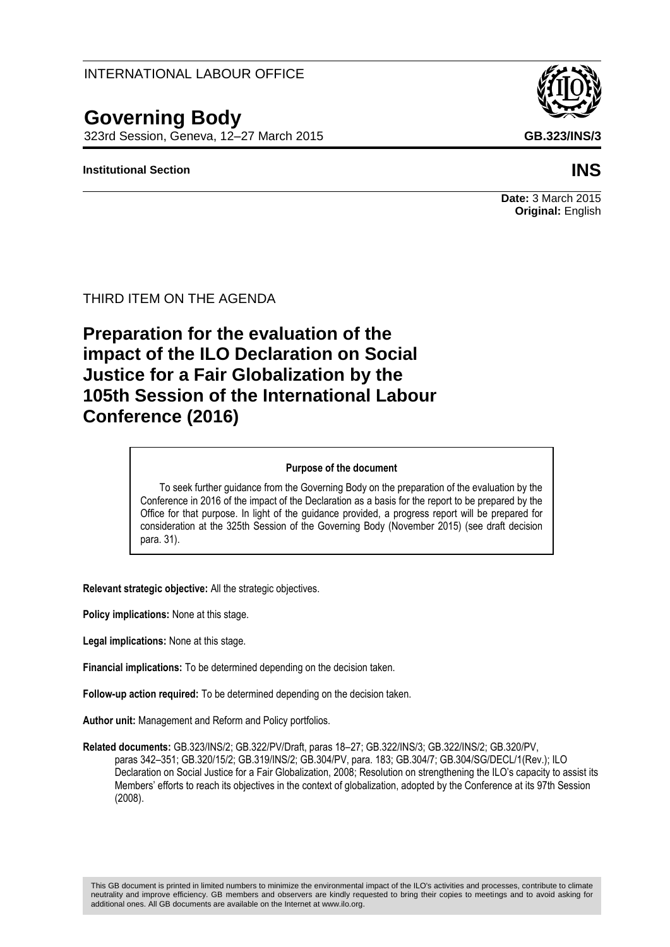# INTERNATIONAL LABOUR OFFICE

# **Governing Body**

323rd Session, Geneva, 12–27 March 2015 **GB.323/INS/3**

### **Institutional Section INS**



**Date:** 3 March 2015 **Original:** English

THIRD ITEM ON THE AGENDA

# **Preparation for the evaluation of the impact of the ILO Declaration on Social Justice for a Fair Globalization by the 105th Session of the International Labour Conference (2016)**

#### **Purpose of the document**

To seek further guidance from the Governing Body on the preparation of the evaluation by the Conference in 2016 of the impact of the Declaration as a basis for the report to be prepared by the Office for that purpose. In light of the guidance provided, a progress report will be prepared for consideration at the 325th Session of the Governing Body (November 2015) (see draft decision para. 31).

**Relevant strategic objective:** All the strategic objectives.

**Policy implications:** None at this stage.

**Legal implications:** None at this stage.

**Financial implications:** To be determined depending on the decision taken.

**Follow-up action required:** To be determined depending on the decision taken.

**Author unit:** Management and Reform and Policy portfolios.

**Related documents:** GB.323/INS/2; GB.322/PV/Draft, paras 18–27; GB.322/INS/3; GB.322/INS/2; GB.320/PV, paras 342–351; GB.320/15/2; GB.319/INS/2; GB.304/PV, para. 183; GB.304/7; GB.304/SG/DECL/1(Rev.); ILO Declaration on Social Justice for a Fair Globalization, 2008; Resolution on strengthening the ILO's capacity to assist its Members' efforts to reach its objectives in the context of globalization, adopted by the Conference at its 97th Session (2008).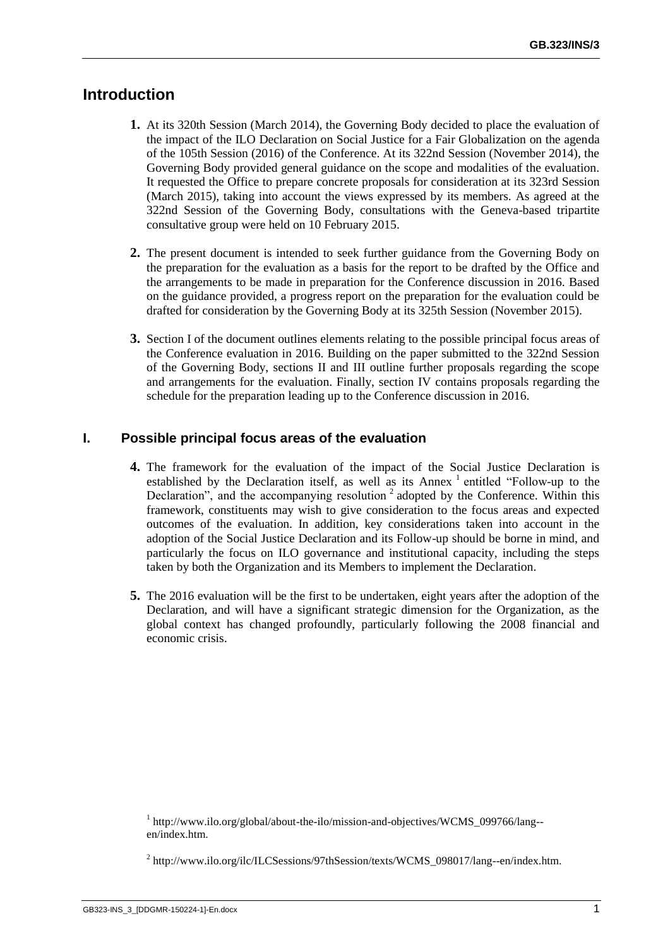# **Introduction**

- **1.** At its 320th Session (March 2014), the Governing Body decided to place the evaluation of the impact of the ILO Declaration on Social Justice for a Fair Globalization on the agenda of the 105th Session (2016) of the Conference. At its 322nd Session (November 2014), the Governing Body provided general guidance on the scope and modalities of the evaluation. It requested the Office to prepare concrete proposals for consideration at its 323rd Session (March 2015), taking into account the views expressed by its members. As agreed at the 322nd Session of the Governing Body, consultations with the Geneva-based tripartite consultative group were held on 10 February 2015.
- **2.** The present document is intended to seek further guidance from the Governing Body on the preparation for the evaluation as a basis for the report to be drafted by the Office and the arrangements to be made in preparation for the Conference discussion in 2016. Based on the guidance provided, a progress report on the preparation for the evaluation could be drafted for consideration by the Governing Body at its 325th Session (November 2015).
- **3.** Section I of the document outlines elements relating to the possible principal focus areas of the Conference evaluation in 2016. Building on the paper submitted to the 322nd Session of the Governing Body, sections II and III outline further proposals regarding the scope and arrangements for the evaluation. Finally, section IV contains proposals regarding the schedule for the preparation leading up to the Conference discussion in 2016.

#### **I. Possible principal focus areas of the evaluation**

- **4.** The framework for the evaluation of the impact of the Social Justice Declaration is established by the Declaration itself, as well as its Annex  $^1$  entitled "Follow-up to the Declaration", and the accompanying resolution<sup>2</sup> adopted by the Conference. Within this framework, constituents may wish to give consideration to the focus areas and expected outcomes of the evaluation. In addition, key considerations taken into account in the adoption of the Social Justice Declaration and its Follow-up should be borne in mind, and particularly the focus on ILO governance and institutional capacity, including the steps taken by both the Organization and its Members to implement the Declaration.
- **5.** The 2016 evaluation will be the first to be undertaken, eight years after the adoption of the Declaration, and will have a significant strategic dimension for the Organization, as the global context has changed profoundly, particularly following the 2008 financial and economic crisis.

<sup>&</sup>lt;sup>1</sup> [http://www.ilo.org/global/about-the-ilo/mission-and-objectives/WCMS\\_099766/lang-](http://www.ilo.org/global/about-the-ilo/mission-and-objectives/WCMS_099766/lang--en/index.htm) [en/index.htm.](http://www.ilo.org/global/about-the-ilo/mission-and-objectives/WCMS_099766/lang--en/index.htm)

<sup>&</sup>lt;sup>2</sup> [http://www.ilo.org/ilc/ILCSessions/97thSession/texts/WCMS\\_098017/lang--en/index.htm.](http://www.ilo.org/ilc/ILCSessions/97thSession/texts/WCMS_098017/lang--en/index.htm)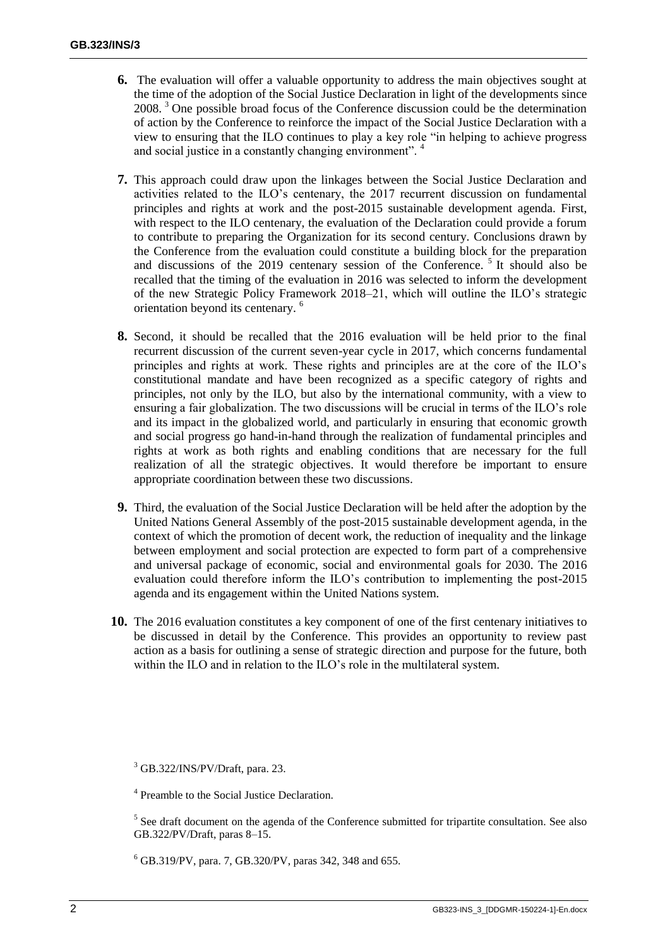- **6.** The evaluation will offer a valuable opportunity to address the main objectives sought at the time of the adoption of the Social Justice Declaration in light of the developments since 2008. <sup>3</sup> One possible broad focus of the Conference discussion could be the determination of action by the Conference to reinforce the impact of the Social Justice Declaration with a view to ensuring that the ILO continues to play a key role "in helping to achieve progress and social justice in a constantly changing environment".<sup>4</sup>
- **7.** This approach could draw upon the linkages between the Social Justice Declaration and activities related to the ILO's centenary, the 2017 recurrent discussion on fundamental principles and rights at work and the post-2015 sustainable development agenda. First, with respect to the ILO centenary, the evaluation of the Declaration could provide a forum to contribute to preparing the Organization for its second century. Conclusions drawn by the Conference from the evaluation could constitute a building block for the preparation and discussions of the 2019 centenary session of the Conference.<sup>5</sup> It should also be recalled that the timing of the evaluation in 2016 was selected to inform the development of the new Strategic Policy Framework 2018–21, which will outline the ILO's strategic orientation beyond its centenary. <sup>6</sup>
- **8.** Second, it should be recalled that the 2016 evaluation will be held prior to the final recurrent discussion of the current seven-year cycle in 2017, which concerns fundamental principles and rights at work. These rights and principles are at the core of the ILO's constitutional mandate and have been recognized as a specific category of rights and principles, not only by the ILO, but also by the international community, with a view to ensuring a fair globalization. The two discussions will be crucial in terms of the ILO's role and its impact in the globalized world, and particularly in ensuring that economic growth and social progress go hand-in-hand through the realization of fundamental principles and rights at work as both rights and enabling conditions that are necessary for the full realization of all the strategic objectives. It would therefore be important to ensure appropriate coordination between these two discussions.
- **9.** Third, the evaluation of the Social Justice Declaration will be held after the adoption by the United Nations General Assembly of the post-2015 sustainable development agenda, in the context of which the promotion of decent work, the reduction of inequality and the linkage between employment and social protection are expected to form part of a comprehensive and universal package of economic, social and environmental goals for 2030. The 2016 evaluation could therefore inform the ILO's contribution to implementing the post-2015 agenda and its engagement within the United Nations system.
- **10.** The 2016 evaluation constitutes a key component of one of the first centenary initiatives to be discussed in detail by the Conference. This provides an opportunity to review past action as a basis for outlining a sense of strategic direction and purpose for the future, both within the ILO and in relation to the ILO's role in the multilateral system.

<sup>6</sup> GB.319/PV, para. 7, GB.320/PV, paras 342, 348 and 655.

 $3$  GB.322/INS/PV/Draft, para. 23.

<sup>&</sup>lt;sup>4</sup> Preamble to the Social Justice Declaration.

 $<sup>5</sup>$  See draft document on the agenda of the Conference submitted for tripartite consultation. See also</sup> GB.322/PV/Draft, paras 8–15.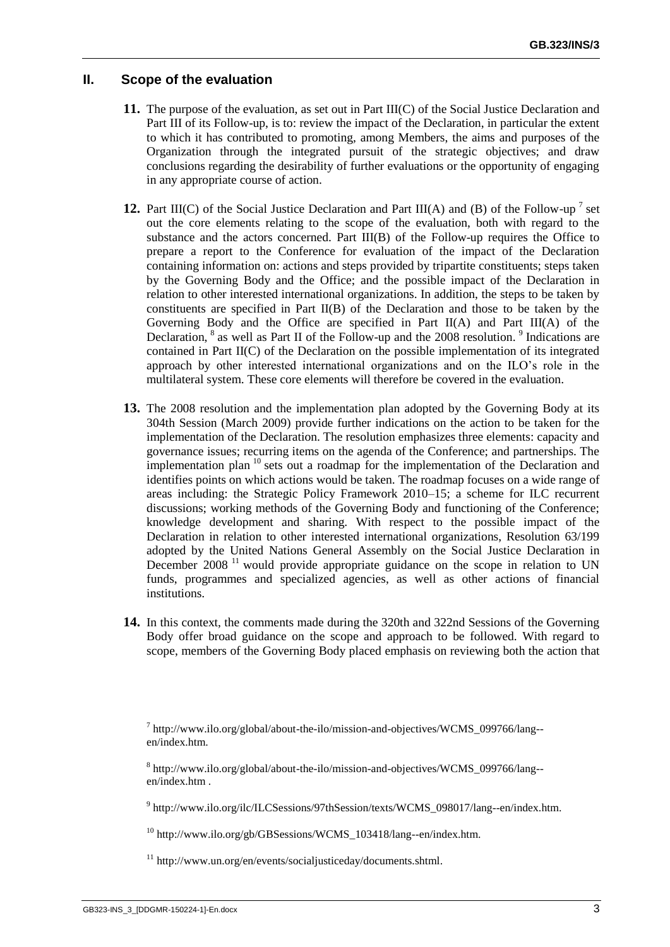#### **II. Scope of the evaluation**

- **11.** The purpose of the evaluation, as set out in Part III(C) of the Social Justice Declaration and Part III of its Follow-up, is to: review the impact of the Declaration, in particular the extent to which it has contributed to promoting, among Members, the aims and purposes of the Organization through the integrated pursuit of the strategic objectives; and draw conclusions regarding the desirability of further evaluations or the opportunity of engaging in any appropriate course of action.
- **12.** Part III(C) of the Social Justice Declaration and Part III(A) and (B) of the Follow-up<sup>7</sup> set out the core elements relating to the scope of the evaluation, both with regard to the substance and the actors concerned. Part III(B) of the Follow-up requires the Office to prepare a report to the Conference for evaluation of the impact of the Declaration containing information on: actions and steps provided by tripartite constituents; steps taken by the Governing Body and the Office; and the possible impact of the Declaration in relation to other interested international organizations. In addition, the steps to be taken by constituents are specified in Part II(B) of the Declaration and those to be taken by the Governing Body and the Office are specified in Part II(A) and Part III(A) of the Declaration, <sup>8</sup> as well as Part II of the Follow-up and the 2008 resolution. <sup>9</sup> Indications are contained in Part II(C) of the Declaration on the possible implementation of its integrated approach by other interested international organizations and on the ILO's role in the multilateral system. These core elements will therefore be covered in the evaluation.
- **13.** The 2008 resolution and the implementation plan adopted by the Governing Body at its 304th Session (March 2009) provide further indications on the action to be taken for the implementation of the Declaration. The resolution emphasizes three elements: capacity and governance issues; recurring items on the agenda of the Conference; and partnerships. The implementation plan <sup>10</sup> sets out a roadmap for the implementation of the Declaration and identifies points on which actions would be taken. The roadmap focuses on a wide range of areas including: the Strategic Policy Framework 2010–15; a scheme for ILC recurrent discussions; working methods of the Governing Body and functioning of the Conference; knowledge development and sharing. With respect to the possible impact of the Declaration in relation to other interested international organizations, Resolution 63/199 adopted by the United Nations General Assembly on the Social Justice Declaration in December 2008<sup>11</sup> would provide appropriate guidance on the scope in relation to UN funds, programmes and specialized agencies, as well as other actions of financial institutions.
- **14.** In this context, the comments made during the 320th and 322nd Sessions of the Governing Body offer broad guidance on the scope and approach to be followed. With regard to scope, members of the Governing Body placed emphasis on reviewing both the action that

<sup>7</sup> [http://www.ilo.org/global/about-the-ilo/mission-and-objectives/WCMS\\_099766/lang-](http://www.ilo.org/global/about-the-ilo/mission-and-objectives/WCMS_099766/lang--en/index.htm) [en/index.htm.](http://www.ilo.org/global/about-the-ilo/mission-and-objectives/WCMS_099766/lang--en/index.htm)

<sup>8</sup> [http://www.ilo.org/global/about-the-ilo/mission-and-objectives/WCMS\\_099766/lang-](http://www.ilo.org/global/about-the-ilo/mission-and-objectives/WCMS_099766/lang--en/index.htm) [en/index.htm](http://www.ilo.org/global/about-the-ilo/mission-and-objectives/WCMS_099766/lang--en/index.htm) .

<sup>9</sup> [http://www.ilo.org/ilc/ILCSessions/97thSession/texts/WCMS\\_098017/lang--en/index.htm.](http://www.ilo.org/ilc/ILCSessions/97thSession/texts/WCMS_098017/lang--en/index.htm)

 $^{10}$  http://www.ilo.org/gb/GBSessions/WCMS 103418/lang--en/index.htm.

<sup>11</sup> [http://www.un.org/en/events/socialjusticeday/documents.shtml.](http://www.un.org/en/events/socialjusticeday/documents.shtml)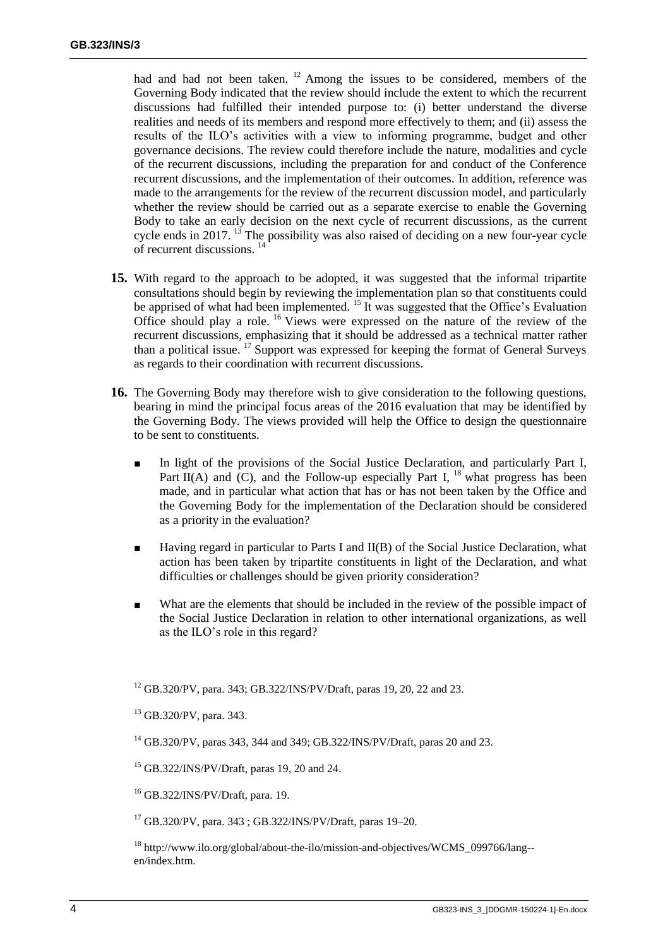had and had not been taken. <sup>12</sup> Among the issues to be considered, members of the Governing Body indicated that the review should include the extent to which the recurrent discussions had fulfilled their intended purpose to: (i) better understand the diverse realities and needs of its members and respond more effectively to them; and (ii) assess the results of the ILO's activities with a view to informing programme, budget and other governance decisions. The review could therefore include the nature, modalities and cycle of the recurrent discussions, including the preparation for and conduct of the Conference recurrent discussions, and the implementation of their outcomes. In addition, reference was made to the arrangements for the review of the recurrent discussion model, and particularly whether the review should be carried out as a separate exercise to enable the Governing Body to take an early decision on the next cycle of recurrent discussions, as the current cycle ends in 2017. <sup>13</sup> The possibility was also raised of deciding on a new four-year cycle of recurrent discussions. 14

- **15.** With regard to the approach to be adopted, it was suggested that the informal tripartite consultations should begin by reviewing the implementation plan so that constituents could be apprised of what had been implemented. <sup>15</sup> It was suggested that the Office's Evaluation Office should play a role. <sup>16</sup> Views were expressed on the nature of the review of the recurrent discussions, emphasizing that it should be addressed as a technical matter rather than a political issue.  $^{17}$  Support was expressed for keeping the format of General Surveys as regards to their coordination with recurrent discussions.
- **16.** The Governing Body may therefore wish to give consideration to the following questions, bearing in mind the principal focus areas of the 2016 evaluation that may be identified by the Governing Body. The views provided will help the Office to design the questionnaire to be sent to constituents.
	- In light of the provisions of the Social Justice Declaration, and particularly Part I, Part  $II(A)$  and  $IC$ ), and the Follow-up especially Part I, <sup>18</sup> what progress has been made, and in particular what action that has or has not been taken by the Office and the Governing Body for the implementation of the Declaration should be considered as a priority in the evaluation?
	- Having regard in particular to Parts I and II(B) of the Social Justice Declaration, what action has been taken by tripartite constituents in light of the Declaration, and what difficulties or challenges should be given priority consideration?
	- What are the elements that should be included in the review of the possible impact of the Social Justice Declaration in relation to other international organizations, as well as the ILO's role in this regard?

<sup>12</sup> GB.320/PV, para. 343; GB.322/INS/PV/Draft, paras 19, 20, 22 and 23.

 $17$  GB.320/PV, para. 343; GB.322/INS/PV/Draft, paras 19–20.

 $^{18}$  [http://www.ilo.org/global/about-the-ilo/mission-and-objectives/WCMS\\_099766/lang-](http://www.ilo.org/global/about-the-ilo/mission-and-objectives/WCMS_099766/lang--en/index.htm) [en/index.htm.](http://www.ilo.org/global/about-the-ilo/mission-and-objectives/WCMS_099766/lang--en/index.htm)

<sup>13</sup> GB.320/PV, para. 343.

 $^{14}$  GB.320/PV, paras 343, 344 and 349; GB.322/INS/PV/Draft, paras 20 and 23.

<sup>15</sup> GB.322/INS/PV/Draft, paras 19, 20 and 24.

<sup>16</sup> GB.322/INS/PV/Draft, para. 19.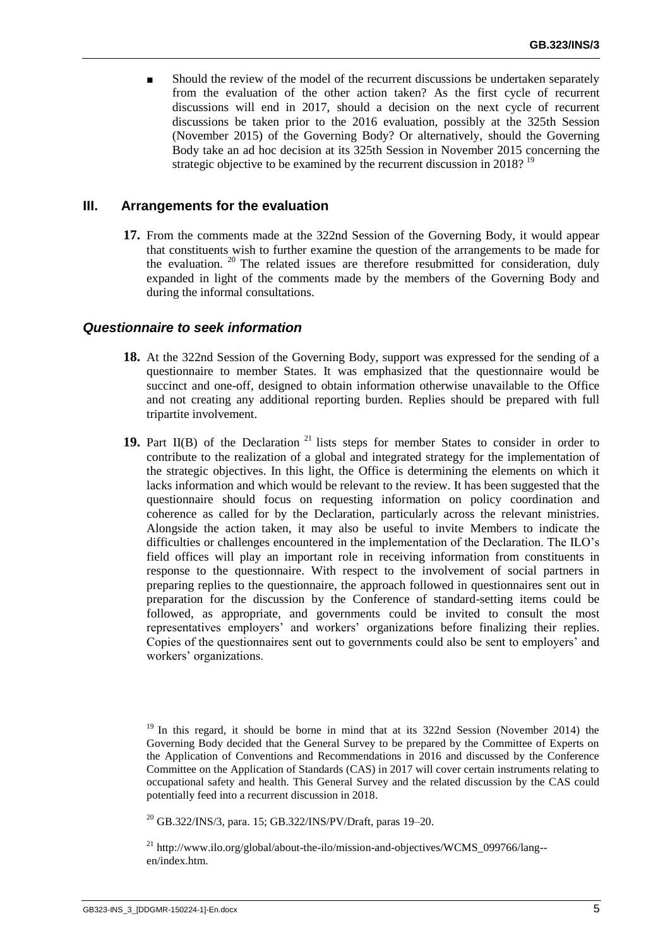Should the review of the model of the recurrent discussions be undertaken separately from the evaluation of the other action taken? As the first cycle of recurrent discussions will end in 2017, should a decision on the next cycle of recurrent discussions be taken prior to the 2016 evaluation, possibly at the 325th Session (November 2015) of the Governing Body? Or alternatively, should the Governing Body take an ad hoc decision at its 325th Session in November 2015 concerning the strategic objective to be examined by the recurrent discussion in 2018?  $19$ 

#### **III. Arrangements for the evaluation**

**17.** From the comments made at the 322nd Session of the Governing Body, it would appear that constituents wish to further examine the question of the arrangements to be made for the evaluation. <sup>20</sup> The related issues are therefore resubmitted for consideration, duly expanded in light of the comments made by the members of the Governing Body and during the informal consultations.

#### *Questionnaire to seek information*

- **18.** At the 322nd Session of the Governing Body, support was expressed for the sending of a questionnaire to member States. It was emphasized that the questionnaire would be succinct and one-off, designed to obtain information otherwise unavailable to the Office and not creating any additional reporting burden. Replies should be prepared with full tripartite involvement.
- 19. Part II(B) of the Declaration<sup>21</sup> lists steps for member States to consider in order to contribute to the realization of a global and integrated strategy for the implementation of the strategic objectives. In this light, the Office is determining the elements on which it lacks information and which would be relevant to the review. It has been suggested that the questionnaire should focus on requesting information on policy coordination and coherence as called for by the Declaration, particularly across the relevant ministries. Alongside the action taken, it may also be useful to invite Members to indicate the difficulties or challenges encountered in the implementation of the Declaration. The ILO's field offices will play an important role in receiving information from constituents in response to the questionnaire. With respect to the involvement of social partners in preparing replies to the questionnaire, the approach followed in questionnaires sent out in preparation for the discussion by the Conference of standard-setting items could be followed, as appropriate, and governments could be invited to consult the most representatives employers' and workers' organizations before finalizing their replies. Copies of the questionnaires sent out to governments could also be sent to employers' and workers' organizations.

 $19$  In this regard, it should be borne in mind that at its 322nd Session (November 2014) the Governing Body decided that the General Survey to be prepared by the Committee of Experts on the Application of Conventions and Recommendations in 2016 and discussed by the Conference Committee on the Application of Standards (CAS) in 2017 will cover certain instruments relating to occupational safety and health. This General Survey and the related discussion by the CAS could potentially feed into a recurrent discussion in 2018.

 $^{20}$  GB.322/INS/3, para. 15; GB.322/INS/PV/Draft, paras 19–20.

<sup>&</sup>lt;sup>21</sup> [http://www.ilo.org/global/about-the-ilo/mission-and-objectives/WCMS\\_099766/lang-](http://www.ilo.org/global/about-the-ilo/mission-and-objectives/WCMS_099766/lang--en/index.htm) [en/index.htm.](http://www.ilo.org/global/about-the-ilo/mission-and-objectives/WCMS_099766/lang--en/index.htm)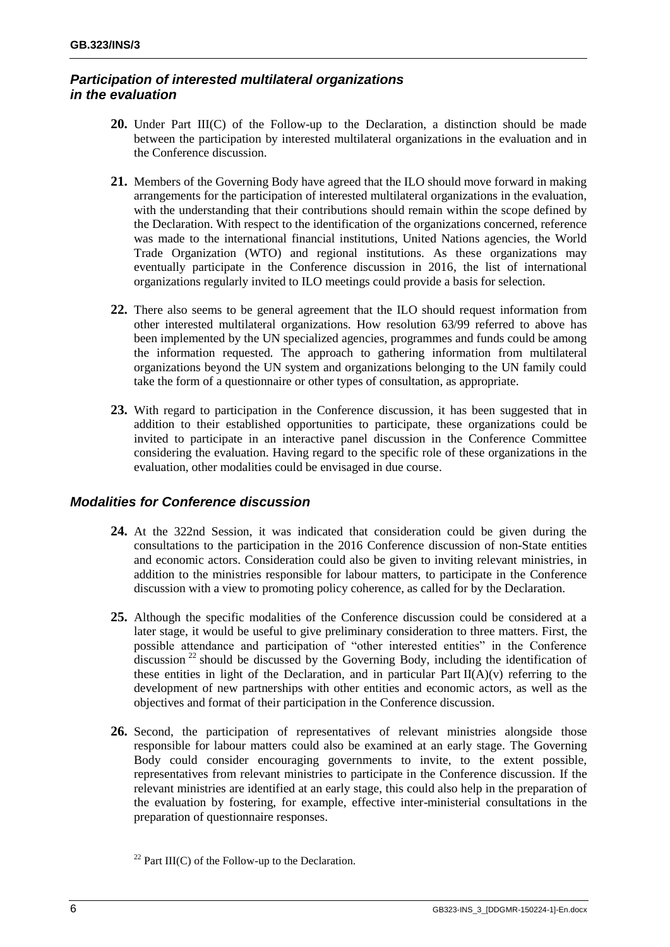## *Participation of interested multilateral organizations in the evaluation*

- **20.** Under Part III(C) of the Follow-up to the Declaration, a distinction should be made between the participation by interested multilateral organizations in the evaluation and in the Conference discussion.
- **21.** Members of the Governing Body have agreed that the ILO should move forward in making arrangements for the participation of interested multilateral organizations in the evaluation, with the understanding that their contributions should remain within the scope defined by the Declaration. With respect to the identification of the organizations concerned, reference was made to the international financial institutions, United Nations agencies, the World Trade Organization (WTO) and regional institutions. As these organizations may eventually participate in the Conference discussion in 2016, the list of international organizations regularly invited to ILO meetings could provide a basis for selection.
- **22.** There also seems to be general agreement that the ILO should request information from other interested multilateral organizations. How resolution 63/99 referred to above has been implemented by the UN specialized agencies, programmes and funds could be among the information requested. The approach to gathering information from multilateral organizations beyond the UN system and organizations belonging to the UN family could take the form of a questionnaire or other types of consultation, as appropriate.
- **23.** With regard to participation in the Conference discussion, it has been suggested that in addition to their established opportunities to participate, these organizations could be invited to participate in an interactive panel discussion in the Conference Committee considering the evaluation. Having regard to the specific role of these organizations in the evaluation, other modalities could be envisaged in due course.

## *Modalities for Conference discussion*

- **24.** At the 322nd Session, it was indicated that consideration could be given during the consultations to the participation in the 2016 Conference discussion of non-State entities and economic actors. Consideration could also be given to inviting relevant ministries, in addition to the ministries responsible for labour matters, to participate in the Conference discussion with a view to promoting policy coherence, as called for by the Declaration.
- **25.** Although the specific modalities of the Conference discussion could be considered at a later stage, it would be useful to give preliminary consideration to three matters. First, the possible attendance and participation of "other interested entities" in the Conference discussion  $^{22}$  should be discussed by the Governing Body, including the identification of these entities in light of the Declaration, and in particular Part  $II(A)(v)$  referring to the development of new partnerships with other entities and economic actors, as well as the objectives and format of their participation in the Conference discussion.
- **26.** Second, the participation of representatives of relevant ministries alongside those responsible for labour matters could also be examined at an early stage. The Governing Body could consider encouraging governments to invite, to the extent possible, representatives from relevant ministries to participate in the Conference discussion. If the relevant ministries are identified at an early stage, this could also help in the preparation of the evaluation by fostering, for example, effective inter-ministerial consultations in the preparation of questionnaire responses.

<sup>&</sup>lt;sup>22</sup> Part III(C) of the Follow-up to the Declaration.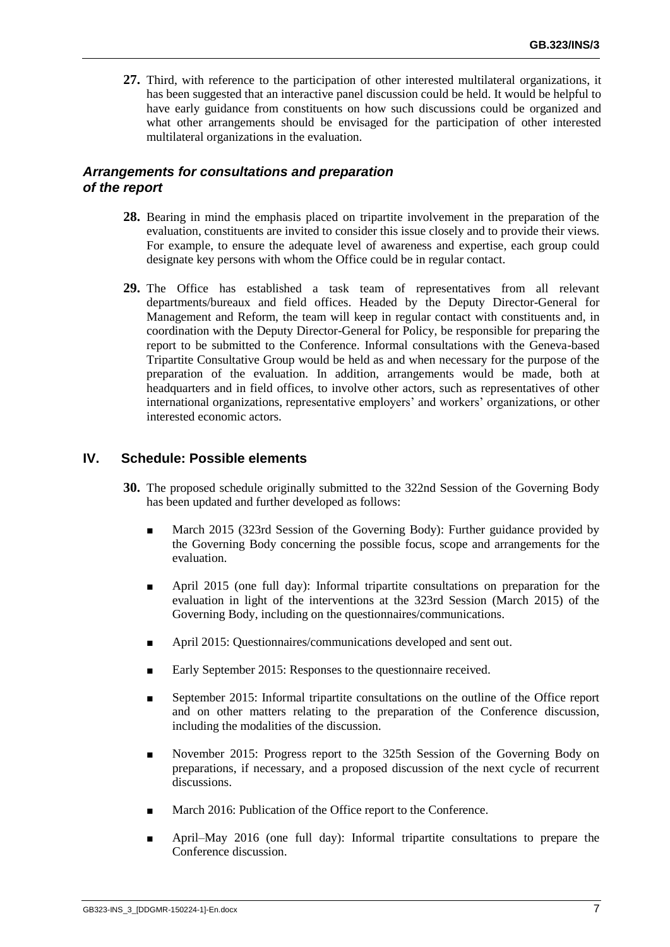**27.** Third, with reference to the participation of other interested multilateral organizations, it has been suggested that an interactive panel discussion could be held. It would be helpful to have early guidance from constituents on how such discussions could be organized and what other arrangements should be envisaged for the participation of other interested multilateral organizations in the evaluation.

### *Arrangements for consultations and preparation of the report*

- **28.** Bearing in mind the emphasis placed on tripartite involvement in the preparation of the evaluation, constituents are invited to consider this issue closely and to provide their views. For example, to ensure the adequate level of awareness and expertise, each group could designate key persons with whom the Office could be in regular contact.
- **29.** The Office has established a task team of representatives from all relevant departments/bureaux and field offices. Headed by the Deputy Director-General for Management and Reform, the team will keep in regular contact with constituents and, in coordination with the Deputy Director-General for Policy, be responsible for preparing the report to be submitted to the Conference. Informal consultations with the Geneva-based Tripartite Consultative Group would be held as and when necessary for the purpose of the preparation of the evaluation. In addition, arrangements would be made, both at headquarters and in field offices, to involve other actors, such as representatives of other international organizations, representative employers' and workers' organizations, or other interested economic actors.

#### **IV. Schedule: Possible elements**

- **30.** The proposed schedule originally submitted to the 322nd Session of the Governing Body has been updated and further developed as follows:
	- March 2015 (323rd Session of the Governing Body): Further guidance provided by the Governing Body concerning the possible focus, scope and arrangements for the evaluation.
	- April 2015 (one full day): Informal tripartite consultations on preparation for the evaluation in light of the interventions at the 323rd Session (March 2015) of the Governing Body, including on the questionnaires/communications.
	- April 2015: Questionnaires/communications developed and sent out.
	- Early September 2015: Responses to the questionnaire received.
	- September 2015: Informal tripartite consultations on the outline of the Office report and on other matters relating to the preparation of the Conference discussion, including the modalities of the discussion.
	- November 2015: Progress report to the 325th Session of the Governing Body on preparations, if necessary, and a proposed discussion of the next cycle of recurrent discussions.
	- March 2016: Publication of the Office report to the Conference.
	- April–May 2016 (one full day): Informal tripartite consultations to prepare the Conference discussion.